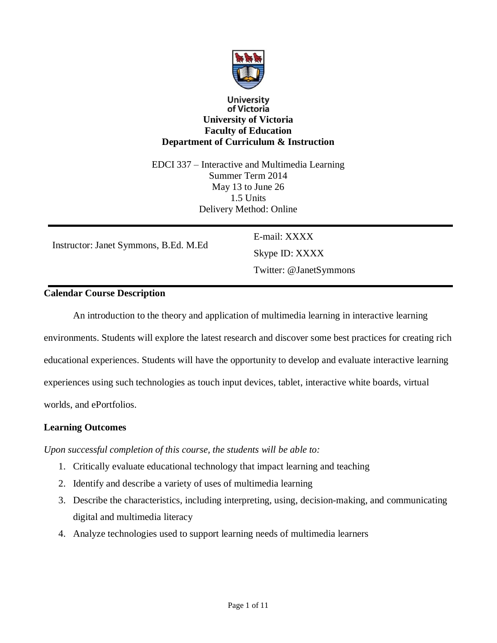

## **University** of Victoria **University of Victoria Faculty of Education Department of Curriculum & Instruction**

EDCI 337 – Interactive and Multimedia Learning Summer Term 2014 May 13 to June 26 1.5 Units Delivery Method: Online

Instructor: Janet Symmons, B.Ed. M.Ed

E-mail: XXXX Skype ID: XXXX Twitter: @JanetSymmons

## **Calendar Course Description**

An introduction to the theory and application of multimedia learning in interactive learning environments. Students will explore the latest research and discover some best practices for creating rich educational experiences. Students will have the opportunity to develop and evaluate interactive learning experiences using such technologies as touch input devices, tablet, interactive white boards, virtual worlds, and ePortfolios.

## **Learning Outcomes**

*Upon successful completion of this course, the students will be able to:*

- 1. Critically evaluate educational technology that impact learning and teaching
- 2. Identify and describe a variety of uses of multimedia learning
- 3. Describe the characteristics, including interpreting, using, decision-making, and communicating digital and multimedia literacy
- 4. Analyze technologies used to support learning needs of multimedia learners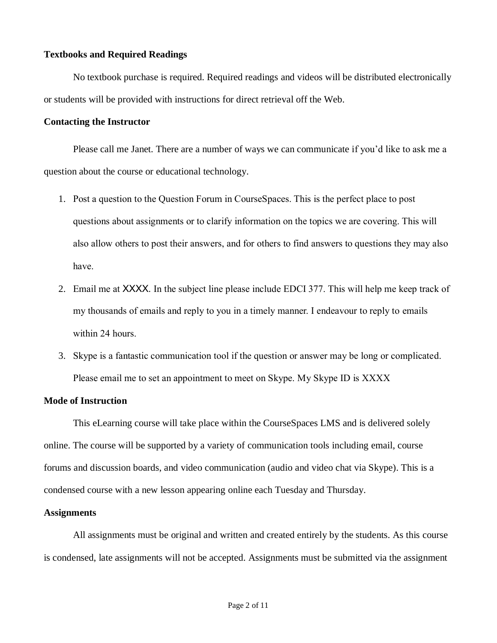### **Textbooks and Required Readings**

No textbook purchase is required. Required readings and videos will be distributed electronically or students will be provided with instructions for direct retrieval off the Web.

### **Contacting the Instructor**

Please call me Janet. There are a number of ways we can communicate if you'd like to ask me a question about the course or educational technology.

- 1. Post a question to the Question Forum in CourseSpaces. This is the perfect place to post questions about assignments or to clarify information on the topics we are covering. This will also allow others to post their answers, and for others to find answers to questions they may also have.
- 2. Email me at XXXX. In the subject line please include EDCI 377. This will help me keep track of my thousands of emails and reply to you in a timely manner. I endeavour to reply to emails within 24 hours.
- 3. Skype is a fantastic communication tool if the question or answer may be long or complicated. Please email me to set an appointment to meet on Skype. My Skype ID is XXXX

## **Mode of Instruction**

This eLearning course will take place within the CourseSpaces LMS and is delivered solely online. The course will be supported by a variety of communication tools including email, course forums and discussion boards, and video communication (audio and video chat via Skype). This is a condensed course with a new lesson appearing online each Tuesday and Thursday.

## **Assignments**

All assignments must be original and written and created entirely by the students. As this course is condensed, late assignments will not be accepted. Assignments must be submitted via the assignment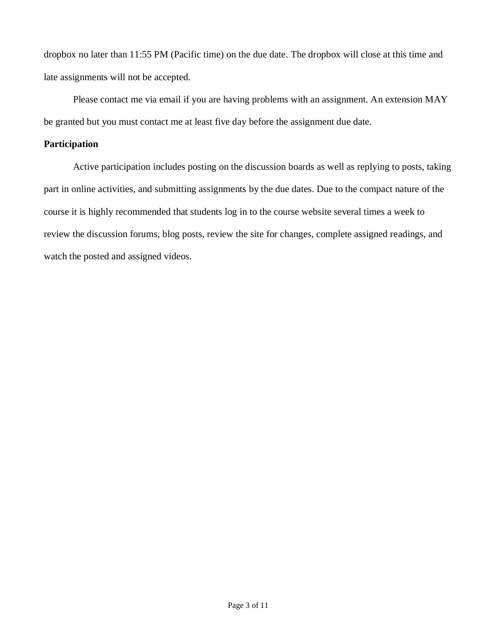dropbox no later than 11:55 PM (Pacific time) on the due date. The dropbox will close at this time and late assignments will not be accepted.

Please contact me via email if you are having problems with an assignment. An extension MAY be granted but you must contact me at least five day before the assignment due date.

## **Participation**

Active participation includes posting on the discussion boards as well as replying to posts, taking part in online activities, and submitting assignments by the due dates. Due to the compact nature of the course it is highly recommended that students log in to the course website several times a week to review the discussion forums, blog posts, review the site for changes, complete assigned readings, and watch the posted and assigned videos.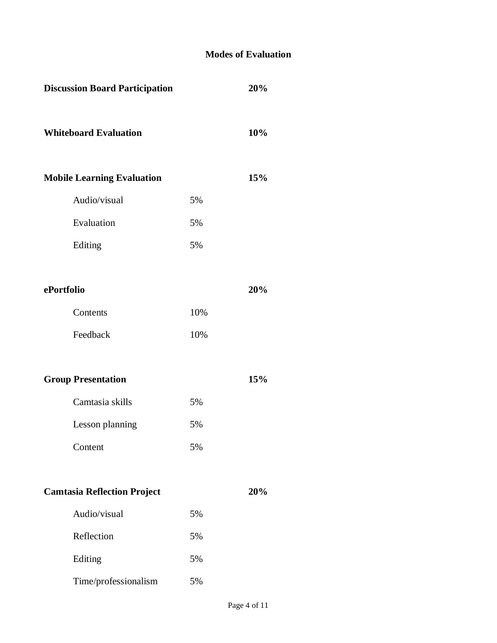## **Modes of Evaluation**

| <b>Discussion Board Participation</b> |     | 20% |
|---------------------------------------|-----|-----|
| <b>Whiteboard Evaluation</b>          |     | 10% |
| <b>Mobile Learning Evaluation</b>     |     | 15% |
| Audio/visual                          | 5%  |     |
| Evaluation                            | 5%  |     |
| Editing                               | 5%  |     |
|                                       |     |     |
| ePortfolio                            |     | 20% |
| Contents                              | 10% |     |
| Feedback                              | 10% |     |
|                                       |     |     |
| <b>Group Presentation</b>             |     | 15% |
| Camtasia skills                       | 5%  |     |
| Lesson planning                       | 5%  |     |
| Content                               | 5%  |     |
|                                       |     |     |
| <b>Camtasia Reflection Project</b>    |     | 20% |
| Audio/visual                          | 5%  |     |
| Reflection                            | 5%  |     |
| Editing                               | 5%  |     |
| Time/professionalism                  | 5%  |     |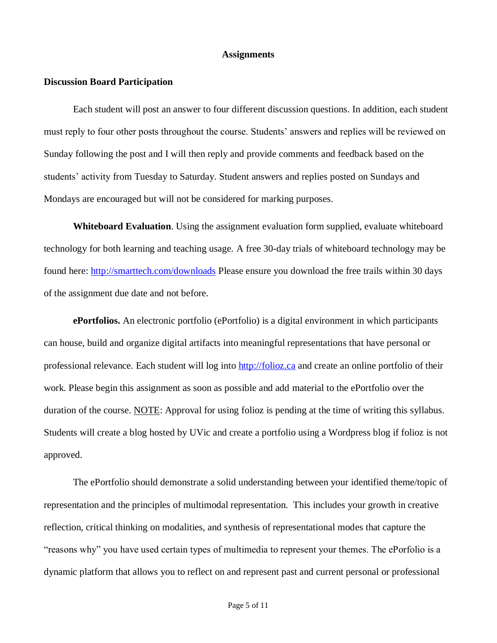## **Assignments**

#### **Discussion Board Participation**

Each student will post an answer to four different discussion questions. In addition, each student must reply to four other posts throughout the course. Students' answers and replies will be reviewed on Sunday following the post and I will then reply and provide comments and feedback based on the students' activity from Tuesday to Saturday. Student answers and replies posted on Sundays and Mondays are encouraged but will not be considered for marking purposes.

**Whiteboard Evaluation**. Using the assignment evaluation form supplied, evaluate whiteboard technology for both learning and teaching usage. A free 30-day trials of whiteboard technology may be found here:<http://smarttech.com/downloads> Please ensure you download the free trails within 30 days of the assignment due date and not before.

**ePortfolios.** An electronic portfolio (ePortfolio) is a digital environment in which participants can house, build and organize digital artifacts into meaningful representations that have personal or professional relevance. Each student will log into [http://folioz.ca](http://folioz.ca/) and create an online portfolio of their work. Please begin this assignment as soon as possible and add material to the ePortfolio over the duration of the course. NOTE: Approval for using folioz is pending at the time of writing this syllabus. Students will create a blog hosted by UVic and create a portfolio using a Wordpress blog if folioz is not approved.

The ePortfolio should demonstrate a solid understanding between your identified theme/topic of representation and the principles of multimodal representation. This includes your growth in creative reflection, critical thinking on modalities, and synthesis of representational modes that capture the "reasons why" you have used certain types of multimedia to represent your themes. The ePorfolio is a dynamic platform that allows you to reflect on and represent past and current personal or professional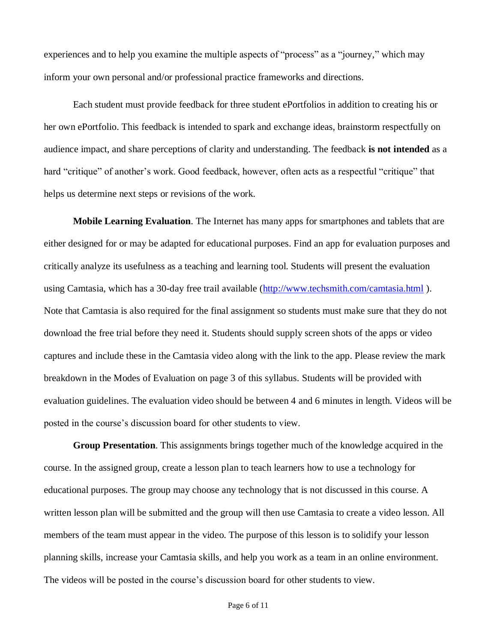experiences and to help you examine the multiple aspects of "process" as a "journey," which may inform your own personal and/or professional practice frameworks and directions.

Each student must provide feedback for three student ePortfolios in addition to creating his or her own ePortfolio. This feedback is intended to spark and exchange ideas, brainstorm respectfully on audience impact, and share perceptions of clarity and understanding. The feedback **is not intended** as a hard "critique" of another's work. Good feedback, however, often acts as a respectful "critique" that helps us determine next steps or revisions of the work.

**Mobile Learning Evaluation**. The Internet has many apps for smartphones and tablets that are either designed for or may be adapted for educational purposes. Find an app for evaluation purposes and critically analyze its usefulness as a teaching and learning tool. Students will present the evaluation using Camtasia, which has a 30-day free trail available [\(http://www.techsmith.com/camtasia.html](http://www.techsmith.com/camtasia.html)). Note that Camtasia is also required for the final assignment so students must make sure that they do not download the free trial before they need it. Students should supply screen shots of the apps or video captures and include these in the Camtasia video along with the link to the app. Please review the mark breakdown in the Modes of Evaluation on page 3 of this syllabus. Students will be provided with evaluation guidelines. The evaluation video should be between 4 and 6 minutes in length. Videos will be posted in the course's discussion board for other students to view.

**Group Presentation**. This assignments brings together much of the knowledge acquired in the course. In the assigned group, create a lesson plan to teach learners how to use a technology for educational purposes. The group may choose any technology that is not discussed in this course. A written lesson plan will be submitted and the group will then use Camtasia to create a video lesson. All members of the team must appear in the video. The purpose of this lesson is to solidify your lesson planning skills, increase your Camtasia skills, and help you work as a team in an online environment. The videos will be posted in the course's discussion board for other students to view.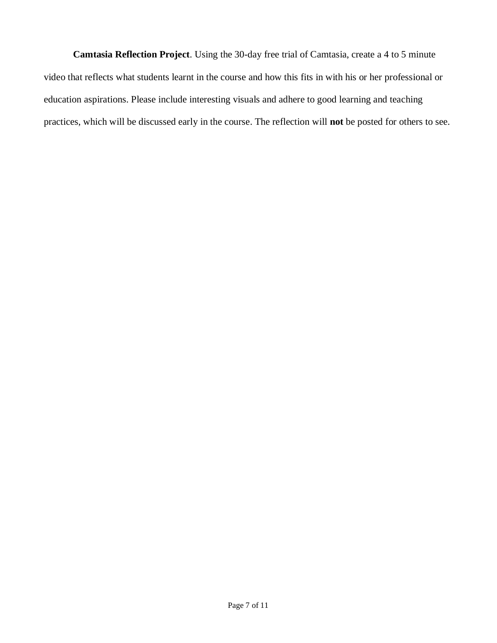**Camtasia Reflection Project**. Using the 30-day free trial of Camtasia, create a 4 to 5 minute video that reflects what students learnt in the course and how this fits in with his or her professional or education aspirations. Please include interesting visuals and adhere to good learning and teaching practices, which will be discussed early in the course. The reflection will **not** be posted for others to see.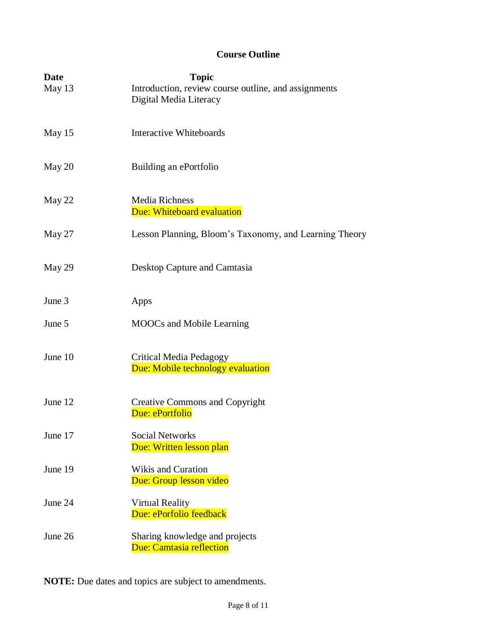# **Course Outline**

| Date    | <b>Topic</b>                                                                   |  |  |
|---------|--------------------------------------------------------------------------------|--|--|
| May 13  | Introduction, review course outline, and assignments<br>Digital Media Literacy |  |  |
| May 15  | <b>Interactive Whiteboards</b>                                                 |  |  |
| May 20  | Building an ePortfolio                                                         |  |  |
| May 22  | <b>Media Richness</b><br>Due: Whiteboard evaluation                            |  |  |
| May 27  | Lesson Planning, Bloom's Taxonomy, and Learning Theory                         |  |  |
| May 29  | Desktop Capture and Camtasia                                                   |  |  |
| June 3  | Apps                                                                           |  |  |
| June 5  | <b>MOOCs</b> and Mobile Learning                                               |  |  |
| June 10 | <b>Critical Media Pedagogy</b><br>Due: Mobile technology evaluation            |  |  |
| June 12 | <b>Creative Commons and Copyright</b><br>Due: ePortfolio                       |  |  |
| June 17 | <b>Social Networks</b><br>Due: Written lesson plan                             |  |  |
| June 19 | Wikis and Curation<br>Due: Group lesson video                                  |  |  |
| June 24 | <b>Virtual Reality</b><br>Due: ePorfolio feedback                              |  |  |
| June 26 | Sharing knowledge and projects<br>Due: Camtasia reflection                     |  |  |

**NOTE:** Due dates and topics are subject to amendments.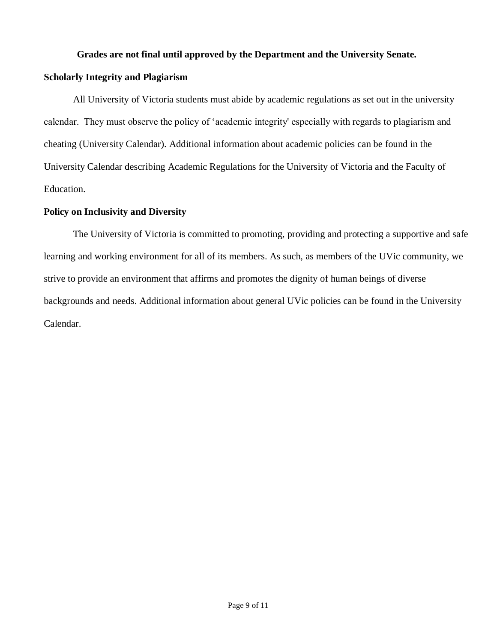## **Grades are not final until approved by the Department and the University Senate.**

## **Scholarly Integrity and Plagiarism**

All University of Victoria students must abide by academic regulations as set out in the university calendar. They must observe the policy of 'academic integrity' especially with regards to plagiarism and cheating (University Calendar). Additional information about academic policies can be found in the University Calendar describing Academic Regulations for the University of Victoria and the Faculty of Education.

## **Policy on Inclusivity and Diversity**

The University of Victoria is committed to promoting, providing and protecting a supportive and safe learning and working environment for all of its members. As such, as members of the UVic community, we strive to provide an environment that affirms and promotes the dignity of human beings of diverse backgrounds and needs. Additional information about general UVic policies can be found in the University Calendar.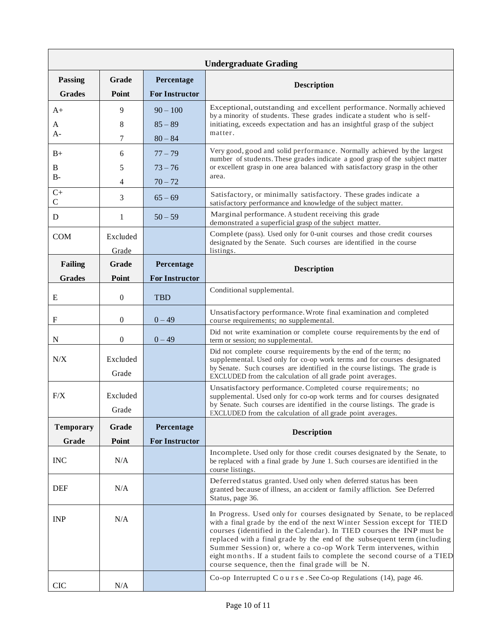| <b>Undergraduate Grading</b> |          |                       |                                                                                                                                                                                                                                                                                                                                                                                                                                                                                                            |  |
|------------------------------|----------|-----------------------|------------------------------------------------------------------------------------------------------------------------------------------------------------------------------------------------------------------------------------------------------------------------------------------------------------------------------------------------------------------------------------------------------------------------------------------------------------------------------------------------------------|--|
| Passing                      | Grade    | Percentage            | <b>Description</b>                                                                                                                                                                                                                                                                                                                                                                                                                                                                                         |  |
| <b>Grades</b>                | Point    | <b>For Instructor</b> |                                                                                                                                                                                                                                                                                                                                                                                                                                                                                                            |  |
| $A+$                         | 9        | $90 - 100$            | Exceptional, outstanding and excellent performance. Normally achieved<br>by a minority of students. These grades indicate a student who is self-                                                                                                                                                                                                                                                                                                                                                           |  |
| A                            | 8        | $85 - 89$             | initiating, exceeds expectation and has an insightful grasp of the subject                                                                                                                                                                                                                                                                                                                                                                                                                                 |  |
| $A-$                         | 7        | $80 - 84$             | matter.                                                                                                                                                                                                                                                                                                                                                                                                                                                                                                    |  |
| $B+$                         | 6        | $77 - 79$             | Very good, good and solid performance. Normally achieved by the largest<br>number of students. These grades indicate a good grasp of the subject matter                                                                                                                                                                                                                                                                                                                                                    |  |
| B<br>$B-$                    | 5        | $73 - 76$             | or excellent grasp in one area balanced with satisfactory grasp in the other<br>area.                                                                                                                                                                                                                                                                                                                                                                                                                      |  |
|                              | 4        | $70 - 72$             |                                                                                                                                                                                                                                                                                                                                                                                                                                                                                                            |  |
| $C+$<br>$\mathbf C$          | 3        | $65 - 69$             | Satisfactory, or minimally satisfactory. These grades indicate a<br>satisfactory performance and knowledge of the subject matter.                                                                                                                                                                                                                                                                                                                                                                          |  |
| D                            | 1        | $50 - 59$             | Marginal performance. A student receiving this grade<br>demonstrated a superficial grasp of the subject matter.                                                                                                                                                                                                                                                                                                                                                                                            |  |
| <b>COM</b>                   | Excluded |                       | Complete (pass). Used only for 0-unit courses and those credit courses<br>designated by the Senate. Such courses are identified in the course                                                                                                                                                                                                                                                                                                                                                              |  |
|                              | Grade    |                       | listings.                                                                                                                                                                                                                                                                                                                                                                                                                                                                                                  |  |
| <b>Failing</b>               | Grade    | Percentage            | <b>Description</b>                                                                                                                                                                                                                                                                                                                                                                                                                                                                                         |  |
| <b>Grades</b>                | Point    | <b>For Instructor</b> |                                                                                                                                                                                                                                                                                                                                                                                                                                                                                                            |  |
| Ε                            | $\theta$ | <b>TBD</b>            | Conditional supplemental.                                                                                                                                                                                                                                                                                                                                                                                                                                                                                  |  |
| F                            | $\theta$ | $0 - 49$              | Unsatisfactory performance. Wrote final examination and completed<br>course requirements; no supplemental.                                                                                                                                                                                                                                                                                                                                                                                                 |  |
| N                            | 0        | $0 - 49$              | Did not write examination or complete course requirements by the end of<br>term or session; no supplemental.                                                                                                                                                                                                                                                                                                                                                                                               |  |
| N/X                          | Excluded |                       | Did not complete course requirements by the end of the term; no<br>supplemental. Used only for co-op work terms and for courses designated                                                                                                                                                                                                                                                                                                                                                                 |  |
|                              | Grade    |                       | by Senate. Such courses are identified in the course listings. The grade is<br>EXCLUDED from the calculation of all grade point averages.                                                                                                                                                                                                                                                                                                                                                                  |  |
| F/X                          | Excluded |                       | Unsatisfactory performance. Completed course requirements; no<br>supplemental. Used only for co-op work terms and for courses designated                                                                                                                                                                                                                                                                                                                                                                   |  |
|                              | Grade    |                       | by Senate. Such courses are identified in the course listings. The grade is<br>EXCLUDED from the calculation of all grade point averages.                                                                                                                                                                                                                                                                                                                                                                  |  |
| <b>Temporary</b>             | Grade    | Percentage            | <b>Description</b>                                                                                                                                                                                                                                                                                                                                                                                                                                                                                         |  |
| Grade                        | Point    | <b>For Instructor</b> |                                                                                                                                                                                                                                                                                                                                                                                                                                                                                                            |  |
| <b>INC</b>                   | N/A      |                       | Incomplete. Used only for those credit courses designated by the Senate, to<br>be replaced with a final grade by June 1. Such courses are identified in the<br>course listings.                                                                                                                                                                                                                                                                                                                            |  |
| <b>DEF</b>                   | N/A      |                       | Deferred status granted. Used only when deferred status has been<br>granted because of illness, an accident or family affliction. See Deferred<br>Status, page 36.                                                                                                                                                                                                                                                                                                                                         |  |
| <b>INP</b>                   | N/A      |                       | In Progress. Used only for courses designated by Senate, to be replaced<br>with a final grade by the end of the next Winter Session except for TIED<br>courses (identified in the Calendar). In TIED courses the INP must be<br>replaced with a final grade by the end of the subsequent term (including<br>Summer Session) or, where a co-op Work Term intervenes, within<br>eight months. If a student fails to complete the second course of a TIED<br>course sequence, then the final grade will be N. |  |
| <b>CIC</b>                   | N/A      |                       | Co-op Interrupted C o u r s e . See Co-op Regulations (14), page 46.                                                                                                                                                                                                                                                                                                                                                                                                                                       |  |